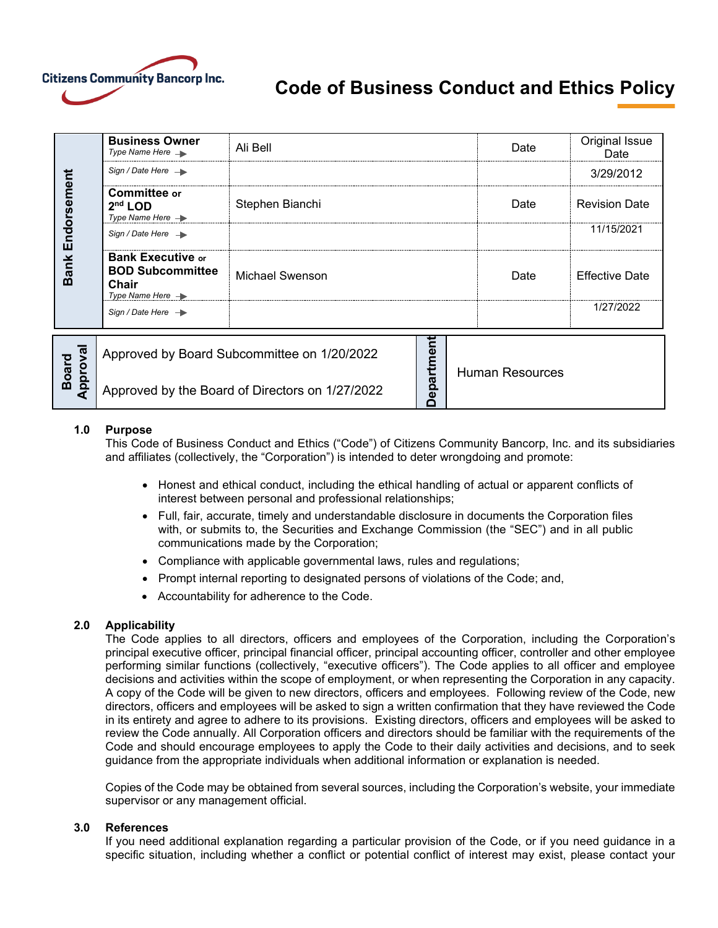

# **Code of Business Conduct and Ethics Policy**

| Endorsement<br><b>Bank</b>    | <b>Business Owner</b><br>Type Name Here $\rightarrow$                                        | Ali Bell        |                |  | Date                   | Original Issue<br>Date |
|-------------------------------|----------------------------------------------------------------------------------------------|-----------------|----------------|--|------------------------|------------------------|
|                               | Sign / Date Here $\rightarrow$                                                               |                 |                |  |                        | 3/29/2012              |
|                               | Committee or<br>$2nd$ LOD<br>Type Name Here $\rightarrow$                                    | Stephen Bianchi |                |  | Date                   | <b>Revision Date</b>   |
|                               | Sign / Date Here $\rightarrow$                                                               |                 |                |  |                        | 11/15/2021             |
|                               | <b>Bank Executive or</b><br><b>BOD Subcommittee</b><br>Chair<br>Type Name Here $\rightarrow$ | Michael Swenson |                |  | Date                   | <b>Effective Date</b>  |
|                               | Sign / Date Here $\rightarrow$                                                               |                 |                |  |                        | 1/27/2022              |
| roval<br><b>Board</b><br>Appi | Approved by Board Subcommittee on 1/20/2022                                                  |                 | nt<br>Departme |  | <b>Human Resources</b> |                        |
|                               | Approved by the Board of Directors on 1/27/2022                                              |                 |                |  |                        |                        |

## **1.0 Purpose**

This Code of Business Conduct and Ethics ("Code") of Citizens Community Bancorp, Inc. and its subsidiaries and affiliates (collectively, the "Corporation") is intended to deter wrongdoing and promote:

- Honest and ethical conduct, including the ethical handling of actual or apparent conflicts of interest between personal and professional relationships;
- Full, fair, accurate, timely and understandable disclosure in documents the Corporation files with, or submits to, the Securities and Exchange Commission (the "SEC") and in all public communications made by the Corporation;
- Compliance with applicable governmental laws, rules and regulations;
- Prompt internal reporting to designated persons of violations of the Code; and,
- Accountability for adherence to the Code.

#### **2.0 Applicability**

The Code applies to all directors, officers and employees of the Corporation, including the Corporation's principal executive officer, principal financial officer, principal accounting officer, controller and other employee performing similar functions (collectively, "executive officers"). The Code applies to all officer and employee decisions and activities within the scope of employment, or when representing the Corporation in any capacity. A copy of the Code will be given to new directors, officers and employees. Following review of the Code, new directors, officers and employees will be asked to sign a written confirmation that they have reviewed the Code in its entirety and agree to adhere to its provisions. Existing directors, officers and employees will be asked to review the Code annually. All Corporation officers and directors should be familiar with the requirements of the Code and should encourage employees to apply the Code to their daily activities and decisions, and to seek guidance from the appropriate individuals when additional information or explanation is needed.

Copies of the Code may be obtained from several sources, including the Corporation's website, your immediate supervisor or any management official.

#### **3.0 References**

If you need additional explanation regarding a particular provision of the Code, or if you need guidance in a specific situation, including whether a conflict or potential conflict of interest may exist, please contact your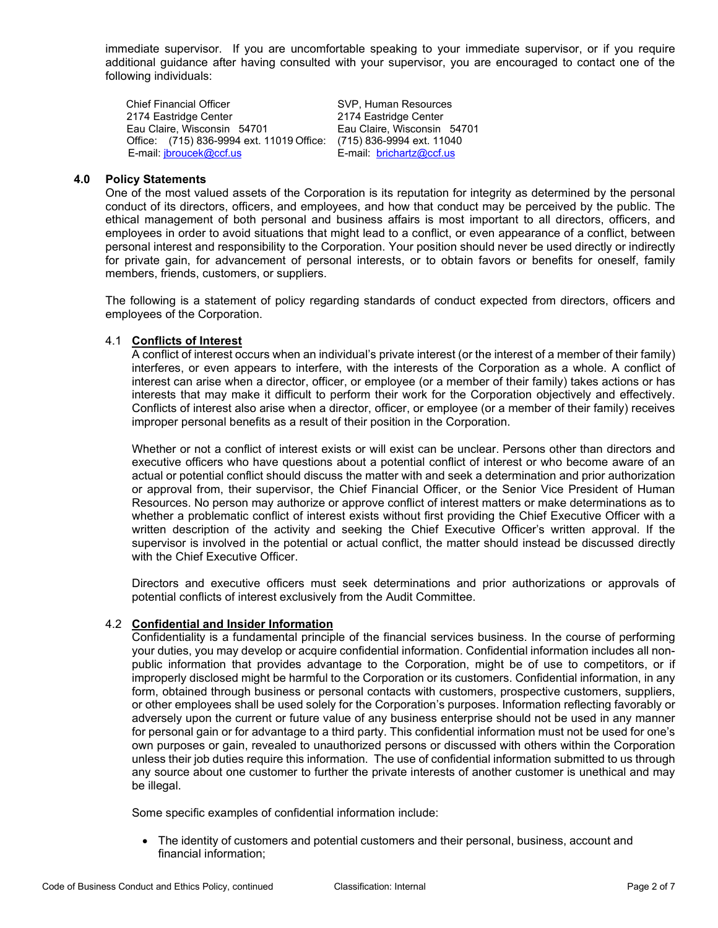immediate supervisor. If you are uncomfortable speaking to your immediate supervisor, or if you require additional guidance after having consulted with your supervisor, you are encouraged to contact one of the following individuals:

Chief Financial Officer SVP, Human Resources 2174 Eastridge Center 2174 Eastridge Center Eau Claire, Wisconsin 54701 Office: (715) 836-9994 ext. 11019 Office: (715) 836-9994 ext. 11040<br>E-mail: jbroucek@ccf.us<br>E-mail: brichartz@ccf.us E-mail[: jbroucek@ccf.us](mailto:jbroucek@ccf.us)

## **4.0 Policy Statements**

One of the most valued assets of the Corporation is its reputation for integrity as determined by the personal conduct of its directors, officers, and employees, and how that conduct may be perceived by the public. The ethical management of both personal and business affairs is most important to all directors, officers, and employees in order to avoid situations that might lead to a conflict, or even appearance of a conflict, between personal interest and responsibility to the Corporation. Your position should never be used directly or indirectly for private gain, for advancement of personal interests, or to obtain favors or benefits for oneself, family members, friends, customers, or suppliers.

The following is a statement of policy regarding standards of conduct expected from directors, officers and employees of the Corporation.

#### 4.1 **Conflicts of Interest**

A conflict of interest occurs when an individual's private interest (or the interest of a member of their family) interferes, or even appears to interfere, with the interests of the Corporation as a whole. A conflict of interest can arise when a director, officer, or employee (or a member of their family) takes actions or has interests that may make it difficult to perform their work for the Corporation objectively and effectively. Conflicts of interest also arise when a director, officer, or employee (or a member of their family) receives improper personal benefits as a result of their position in the Corporation.

Whether or not a conflict of interest exists or will exist can be unclear. Persons other than directors and executive officers who have questions about a potential conflict of interest or who become aware of an actual or potential conflict should discuss the matter with and seek a determination and prior authorization or approval from, their supervisor, the Chief Financial Officer, or the Senior Vice President of Human Resources. No person may authorize or approve conflict of interest matters or make determinations as to whether a problematic conflict of interest exists without first providing the Chief Executive Officer with a written description of the activity and seeking the Chief Executive Officer's written approval. If the supervisor is involved in the potential or actual conflict, the matter should instead be discussed directly with the Chief Executive Officer.

Directors and executive officers must seek determinations and prior authorizations or approvals of potential conflicts of interest exclusively from the Audit Committee.

#### 4.2 **Confidential and Insider Information**

Confidentiality is a fundamental principle of the financial services business. In the course of performing your duties, you may develop or acquire confidential information. Confidential information includes all nonpublic information that provides advantage to the Corporation, might be of use to competitors, or if improperly disclosed might be harmful to the Corporation or its customers. Confidential information, in any form, obtained through business or personal contacts with customers, prospective customers, suppliers, or other employees shall be used solely for the Corporation's purposes. Information reflecting favorably or adversely upon the current or future value of any business enterprise should not be used in any manner for personal gain or for advantage to a third party. This confidential information must not be used for one's own purposes or gain, revealed to unauthorized persons or discussed with others within the Corporation unless their job duties require this information. The use of confidential information submitted to us through any source about one customer to further the private interests of another customer is unethical and may be illegal.

Some specific examples of confidential information include:

• The identity of customers and potential customers and their personal, business, account and financial information;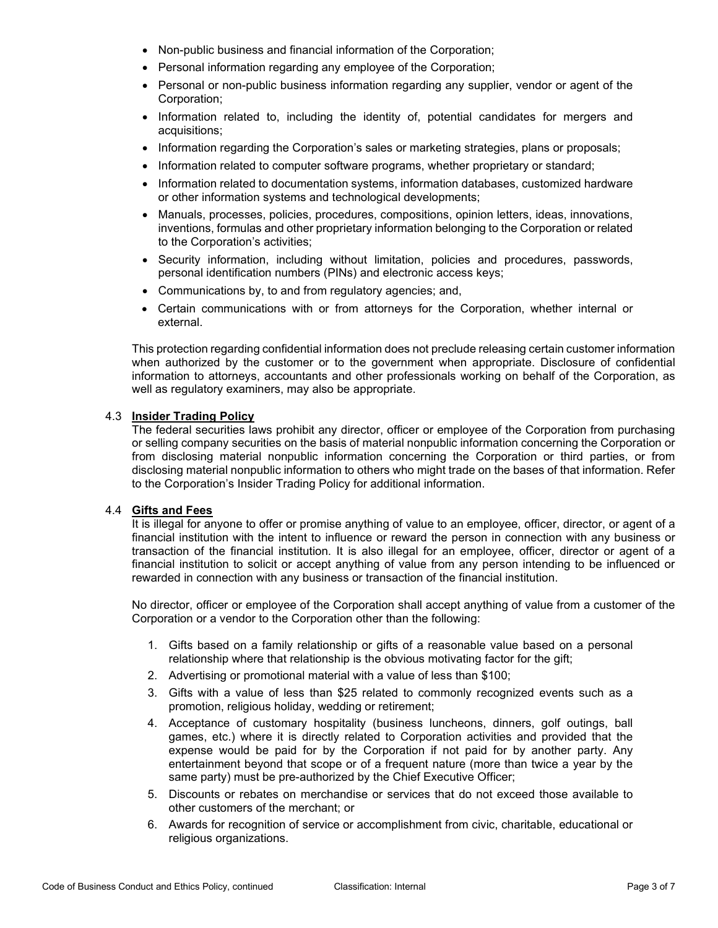- Non-public business and financial information of the Corporation;
- Personal information regarding any employee of the Corporation;
- Personal or non-public business information regarding any supplier, vendor or agent of the Corporation;
- Information related to, including the identity of, potential candidates for mergers and acquisitions;
- Information regarding the Corporation's sales or marketing strategies, plans or proposals;
- Information related to computer software programs, whether proprietary or standard;
- Information related to documentation systems, information databases, customized hardware or other information systems and technological developments;
- Manuals, processes, policies, procedures, compositions, opinion letters, ideas, innovations, inventions, formulas and other proprietary information belonging to the Corporation or related to the Corporation's activities;
- Security information, including without limitation, policies and procedures, passwords, personal identification numbers (PINs) and electronic access keys;
- Communications by, to and from regulatory agencies; and,
- Certain communications with or from attorneys for the Corporation, whether internal or external.

This protection regarding confidential information does not preclude releasing certain customer information when authorized by the customer or to the government when appropriate. Disclosure of confidential information to attorneys, accountants and other professionals working on behalf of the Corporation, as well as regulatory examiners, may also be appropriate.

# 4.3 **Insider Trading Policy**

The federal securities laws prohibit any director, officer or employee of the Corporation from purchasing or selling company securities on the basis of material nonpublic information concerning the Corporation or from disclosing material nonpublic information concerning the Corporation or third parties, or from disclosing material nonpublic information to others who might trade on the bases of that information. Refer to the Corporation's Insider Trading Policy for additional information.

## 4.4 **Gifts and Fees**

It is illegal for anyone to offer or promise anything of value to an employee, officer, director, or agent of a financial institution with the intent to influence or reward the person in connection with any business or transaction of the financial institution. It is also illegal for an employee, officer, director or agent of a financial institution to solicit or accept anything of value from any person intending to be influenced or rewarded in connection with any business or transaction of the financial institution.

No director, officer or employee of the Corporation shall accept anything of value from a customer of the Corporation or a vendor to the Corporation other than the following:

- 1. Gifts based on a family relationship or gifts of a reasonable value based on a personal relationship where that relationship is the obvious motivating factor for the gift;
- 2. Advertising or promotional material with a value of less than \$100;
- 3. Gifts with a value of less than \$25 related to commonly recognized events such as a promotion, religious holiday, wedding or retirement;
- 4. Acceptance of customary hospitality (business luncheons, dinners, golf outings, ball games, etc.) where it is directly related to Corporation activities and provided that the expense would be paid for by the Corporation if not paid for by another party. Any entertainment beyond that scope or of a frequent nature (more than twice a year by the same party) must be pre-authorized by the Chief Executive Officer;
- 5. Discounts or rebates on merchandise or services that do not exceed those available to other customers of the merchant; or
- 6. Awards for recognition of service or accomplishment from civic, charitable, educational or religious organizations.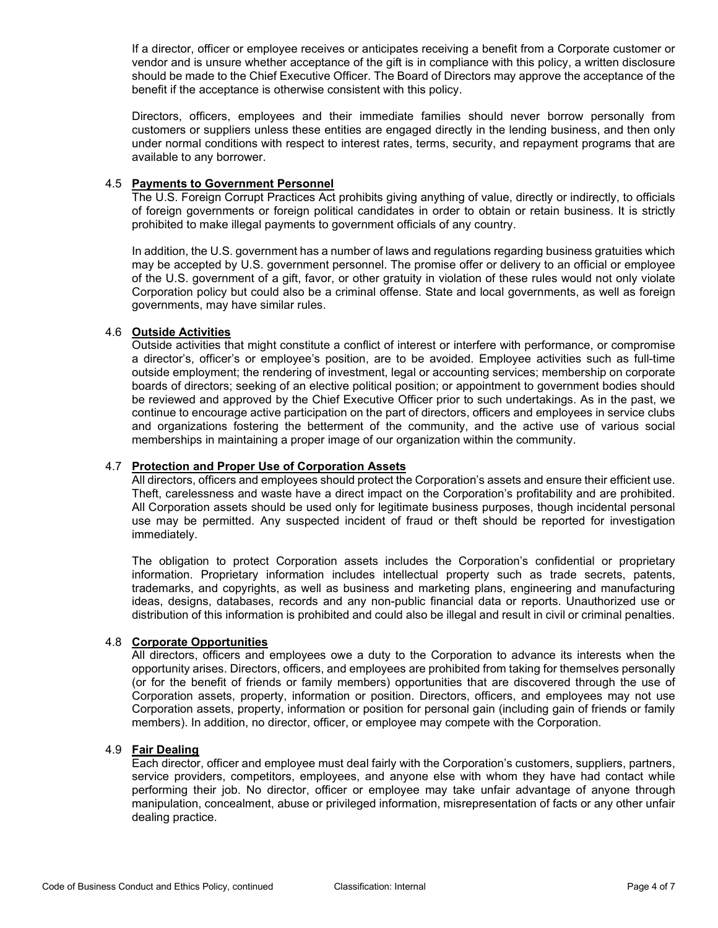If a director, officer or employee receives or anticipates receiving a benefit from a Corporate customer or vendor and is unsure whether acceptance of the gift is in compliance with this policy, a written disclosure should be made to the Chief Executive Officer. The Board of Directors may approve the acceptance of the benefit if the acceptance is otherwise consistent with this policy.

Directors, officers, employees and their immediate families should never borrow personally from customers or suppliers unless these entities are engaged directly in the lending business, and then only under normal conditions with respect to interest rates, terms, security, and repayment programs that are available to any borrower.

# 4.5 **Payments to Government Personnel**

The U.S. Foreign Corrupt Practices Act prohibits giving anything of value, directly or indirectly, to officials of foreign governments or foreign political candidates in order to obtain or retain business. It is strictly prohibited to make illegal payments to government officials of any country.

In addition, the U.S. government has a number of laws and regulations regarding business gratuities which may be accepted by U.S. government personnel. The promise offer or delivery to an official or employee of the U.S. government of a gift, favor, or other gratuity in violation of these rules would not only violate Corporation policy but could also be a criminal offense. State and local governments, as well as foreign governments, may have similar rules.

# 4.6 **Outside Activities**

Outside activities that might constitute a conflict of interest or interfere with performance, or compromise a director's, officer's or employee's position, are to be avoided. Employee activities such as full-time outside employment; the rendering of investment, legal or accounting services; membership on corporate boards of directors; seeking of an elective political position; or appointment to government bodies should be reviewed and approved by the Chief Executive Officer prior to such undertakings. As in the past, we continue to encourage active participation on the part of directors, officers and employees in service clubs and organizations fostering the betterment of the community, and the active use of various social memberships in maintaining a proper image of our organization within the community.

## 4.7 **Protection and Proper Use of Corporation Assets**

All directors, officers and employees should protect the Corporation's assets and ensure their efficient use. Theft, carelessness and waste have a direct impact on the Corporation's profitability and are prohibited. All Corporation assets should be used only for legitimate business purposes, though incidental personal use may be permitted. Any suspected incident of fraud or theft should be reported for investigation immediately.

The obligation to protect Corporation assets includes the Corporation's confidential or proprietary information. Proprietary information includes intellectual property such as trade secrets, patents, trademarks, and copyrights, as well as business and marketing plans, engineering and manufacturing ideas, designs, databases, records and any non-public financial data or reports. Unauthorized use or distribution of this information is prohibited and could also be illegal and result in civil or criminal penalties.

## 4.8 **Corporate Opportunities**

All directors, officers and employees owe a duty to the Corporation to advance its interests when the opportunity arises. Directors, officers, and employees are prohibited from taking for themselves personally (or for the benefit of friends or family members) opportunities that are discovered through the use of Corporation assets, property, information or position. Directors, officers, and employees may not use Corporation assets, property, information or position for personal gain (including gain of friends or family members). In addition, no director, officer, or employee may compete with the Corporation.

## 4.9 **Fair Dealing**

Each director, officer and employee must deal fairly with the Corporation's customers, suppliers, partners, service providers, competitors, employees, and anyone else with whom they have had contact while performing their job. No director, officer or employee may take unfair advantage of anyone through manipulation, concealment, abuse or privileged information, misrepresentation of facts or any other unfair dealing practice.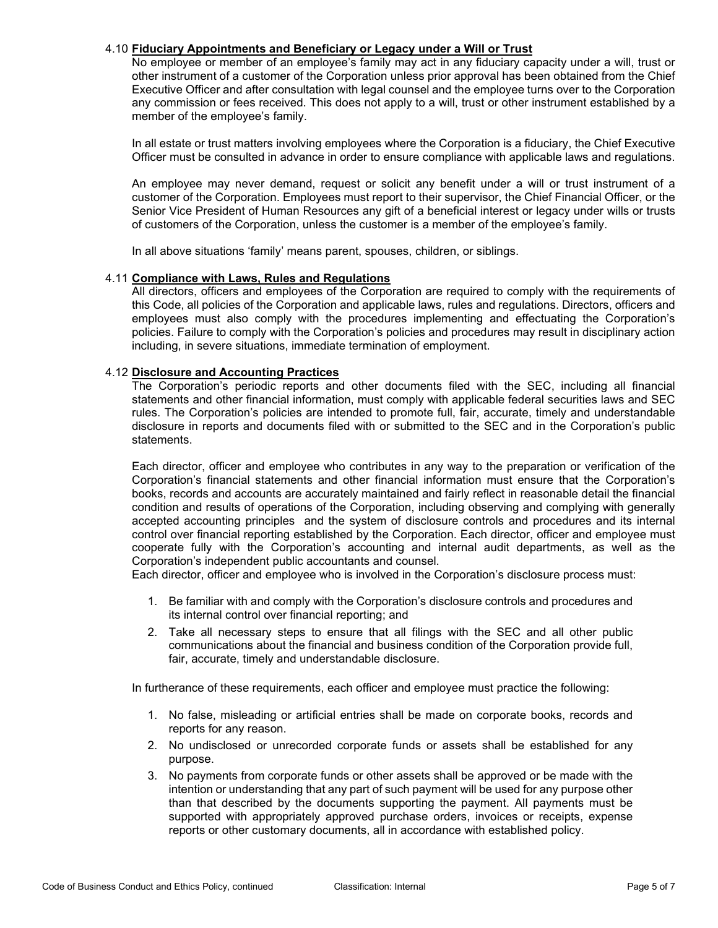## 4.10 **Fiduciary Appointments and Beneficiary or Legacy under a Will or Trust**

No employee or member of an employee's family may act in any fiduciary capacity under a will, trust or other instrument of a customer of the Corporation unless prior approval has been obtained from the Chief Executive Officer and after consultation with legal counsel and the employee turns over to the Corporation any commission or fees received. This does not apply to a will, trust or other instrument established by a member of the employee's family.

In all estate or trust matters involving employees where the Corporation is a fiduciary, the Chief Executive Officer must be consulted in advance in order to ensure compliance with applicable laws and regulations.

An employee may never demand, request or solicit any benefit under a will or trust instrument of a customer of the Corporation. Employees must report to their supervisor, the Chief Financial Officer, or the Senior Vice President of Human Resources any gift of a beneficial interest or legacy under wills or trusts of customers of the Corporation, unless the customer is a member of the employee's family.

In all above situations 'family' means parent, spouses, children, or siblings.

## 4.11 **Compliance with Laws, Rules and Regulations**

All directors, officers and employees of the Corporation are required to comply with the requirements of this Code, all policies of the Corporation and applicable laws, rules and regulations. Directors, officers and employees must also comply with the procedures implementing and effectuating the Corporation's policies. Failure to comply with the Corporation's policies and procedures may result in disciplinary action including, in severe situations, immediate termination of employment.

## 4.12 **Disclosure and Accounting Practices**

The Corporation's periodic reports and other documents filed with the SEC, including all financial statements and other financial information, must comply with applicable federal securities laws and SEC rules. The Corporation's policies are intended to promote full, fair, accurate, timely and understandable disclosure in reports and documents filed with or submitted to the SEC and in the Corporation's public statements.

Each director, officer and employee who contributes in any way to the preparation or verification of the Corporation's financial statements and other financial information must ensure that the Corporation's books, records and accounts are accurately maintained and fairly reflect in reasonable detail the financial condition and results of operations of the Corporation, including observing and complying with generally accepted accounting principles and the system of disclosure controls and procedures and its internal control over financial reporting established by the Corporation. Each director, officer and employee must cooperate fully with the Corporation's accounting and internal audit departments, as well as the Corporation's independent public accountants and counsel.

Each director, officer and employee who is involved in the Corporation's disclosure process must:

- 1. Be familiar with and comply with the Corporation's disclosure controls and procedures and its internal control over financial reporting; and
- 2. Take all necessary steps to ensure that all filings with the SEC and all other public communications about the financial and business condition of the Corporation provide full, fair, accurate, timely and understandable disclosure.

In furtherance of these requirements, each officer and employee must practice the following:

- 1. No false, misleading or artificial entries shall be made on corporate books, records and reports for any reason.
- 2. No undisclosed or unrecorded corporate funds or assets shall be established for any purpose.
- 3. No payments from corporate funds or other assets shall be approved or be made with the intention or understanding that any part of such payment will be used for any purpose other than that described by the documents supporting the payment. All payments must be supported with appropriately approved purchase orders, invoices or receipts, expense reports or other customary documents, all in accordance with established policy.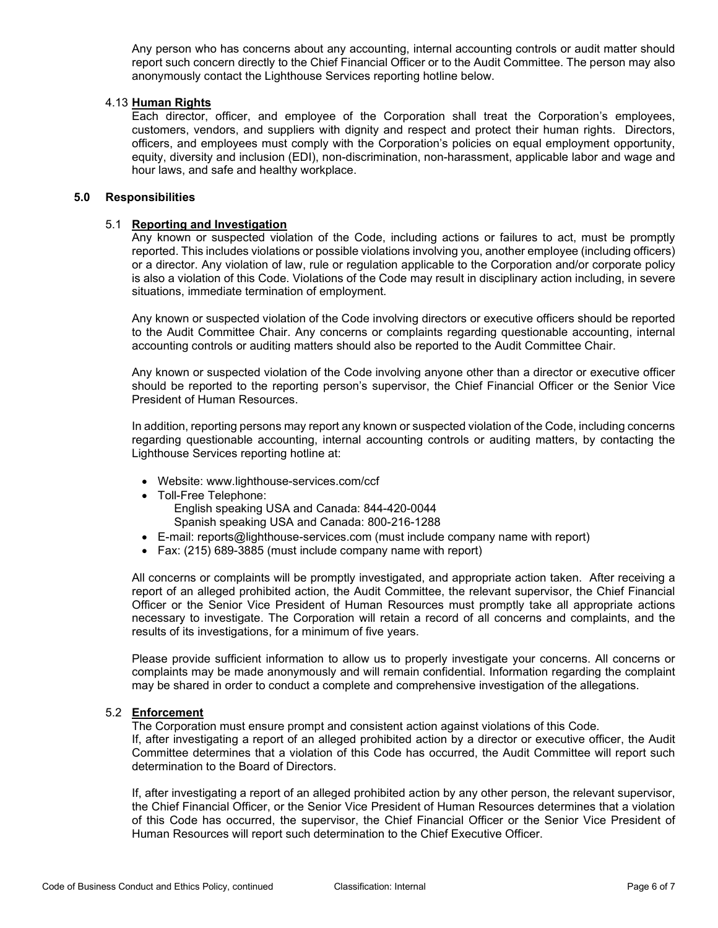Any person who has concerns about any accounting, internal accounting controls or audit matter should report such concern directly to the Chief Financial Officer or to the Audit Committee. The person may also anonymously contact the Lighthouse Services reporting hotline below.

## 4.13 **Human Rights**

Each director, officer, and employee of the Corporation shall treat the Corporation's employees, customers, vendors, and suppliers with dignity and respect and protect their human rights. Directors, officers, and employees must comply with the Corporation's policies on equal employment opportunity, equity, diversity and inclusion (EDI), non-discrimination, non-harassment, applicable labor and wage and hour laws, and safe and healthy workplace.

## **5.0 Responsibilities**

## 5.1 **Reporting and Investigation**

Any known or suspected violation of the Code, including actions or failures to act, must be promptly reported. This includes violations or possible violations involving you, another employee (including officers) or a director. Any violation of law, rule or regulation applicable to the Corporation and/or corporate policy is also a violation of this Code. Violations of the Code may result in disciplinary action including, in severe situations, immediate termination of employment.

Any known or suspected violation of the Code involving directors or executive officers should be reported to the Audit Committee Chair. Any concerns or complaints regarding questionable accounting, internal accounting controls or auditing matters should also be reported to the Audit Committee Chair.

Any known or suspected violation of the Code involving anyone other than a director or executive officer should be reported to the reporting person's supervisor, the Chief Financial Officer or the Senior Vice President of Human Resources.

In addition, reporting persons may report any known or suspected violation of the Code, including concerns regarding questionable accounting, internal accounting controls or auditing matters, by contacting the Lighthouse Services reporting hotline at:

- Website: [www.lighthouse-services.com/ccf](http://www.lighthouse-services.com/ccf)
- Toll-Free Telephone: English speaking USA and Canada: 844-420-0044 Spanish speaking USA and Canada: 800-216-1288
- E-mail: [reports@lighthouse-services.com](mailto:reports@lighthouse-services.com) (must include company name with report)
- Fax: (215) 689-3885 (must include company name with report)

All concerns or complaints will be promptly investigated, and appropriate action taken. After receiving a report of an alleged prohibited action, the Audit Committee, the relevant supervisor, the Chief Financial Officer or the Senior Vice President of Human Resources must promptly take all appropriate actions necessary to investigate. The Corporation will retain a record of all concerns and complaints, and the results of its investigations, for a minimum of five years.

Please provide sufficient information to allow us to properly investigate your concerns. All concerns or complaints may be made anonymously and will remain confidential. Information regarding the complaint may be shared in order to conduct a complete and comprehensive investigation of the allegations.

# 5.2 **Enforcement**

The Corporation must ensure prompt and consistent action against violations of this Code. If, after investigating a report of an alleged prohibited action by a director or executive officer, the Audit Committee determines that a violation of this Code has occurred, the Audit Committee will report such determination to the Board of Directors.

If, after investigating a report of an alleged prohibited action by any other person, the relevant supervisor, the Chief Financial Officer, or the Senior Vice President of Human Resources determines that a violation of this Code has occurred, the supervisor, the Chief Financial Officer or the Senior Vice President of Human Resources will report such determination to the Chief Executive Officer.